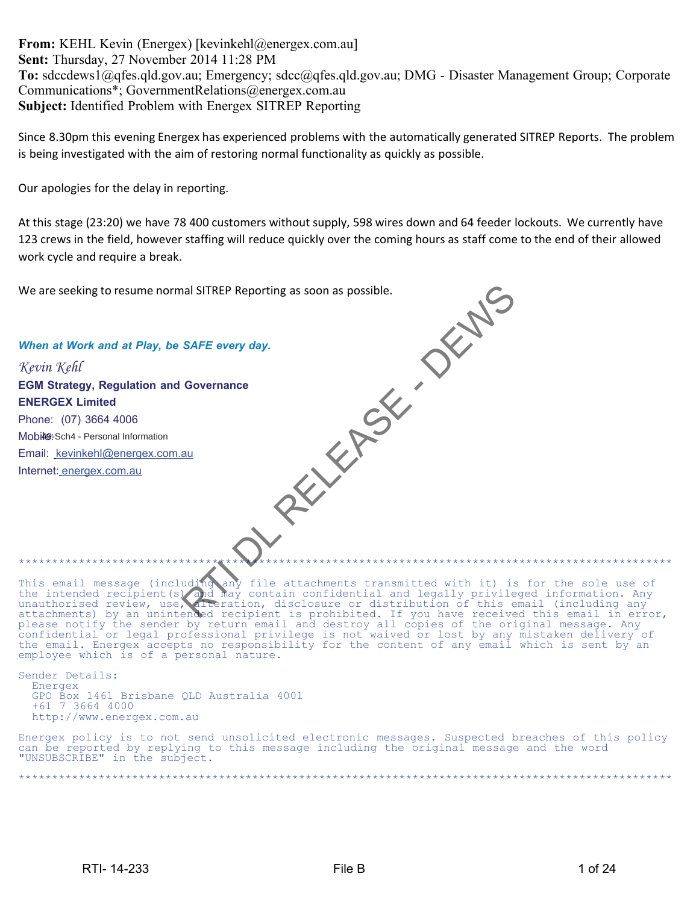**From:** KEHL Kevin (Energex) [kevinkehl@energex.com.au] **Sent:** Thursday, 27 November 2014 11:28 PM **To:** sdccdews1@qfes.qld.gov.au; Emergency; sdcc@qfes.qld.gov.au; DMG - Disaster Management Group; Corporate Communications\*; GovernmentRelations@energex.com.au **Subject:** Identified Problem with Energex SITREP Reporting

Since 8.30pm this evening Energex has experienced problems with the automatically generated SITREP Reports. The problem is being investigated with the aim of restoring normal functionality as quickly as possible.

Our apologies for the delay in reporting.

At this stage (23:20) we have 78 400 customers without supply, 598 wires down and 64 feeder lockouts. We currently have 123 crews in the field, however staffing will reduce quickly over the coming hours as staff come to the end of their allowed work cycle and require a break.

We are seeking to resume normal SITREP Reporting as soon as possible.

*Kevin Kehl* **EGM Strategy, Regulation and Governance ENERGEX Limited** Phone: (07) 3664 4006 Mobile: Sch4 - Personal Information Email: kevinkehl@energex.com.au

*When at Work and at Play, be SAFE every day.*

Internet: energex.com.au

This email message (including any file attachments transmitted with it) is for the sole use of the intended recipient(s) and may contain confidential and legally privileged information. Any unauthorised review, use, alteration, disclosure or distribution of this email (including any attachments) by an unintended recipient is prohibited. If you have received this email in error, please notify the sender by return email and destroy all copies of the original message. Any confidential or legal professional privilege is not waived or lost by any mistaken delivery of the email. Energex accepts no responsibility for the content of any email which is sent by an employee which is of a personal nature. NATE every day.<br>
SAFE every day.<br>
SAFE every day.<br>
SAFE every day.<br>
au<br>
au<br>
au<br>
au<br>
au<br>
au<br>
And may ontain confidential and legally privile<br>
and may contain confidential and legally privile<br>
and receive the second structur

\*\*\*\*\*\*\*\*\*\*\*\*\*\*\*\*\*\*\*\*\*\*\*\*\*\*\*\*\*\*\*\*\*\*\*\*\*\*\*\*\*\*\*\*\*\*\*\*\*\*\*\*\*\*\*\*\*\*\*\*\*\*\*\*\*\*\*\*\*\*\*\*\*\*\*\*\*\*\*\*\*\*\*\*\*\*\*\*\*\*\*\*\*\*\*\*\*\*

Sender Details: Energex GPO Box 1461 Brisbane QLD Australia 4001 +61 7 3664 4000 http://www.energex.com.au

Energex policy is to not send unsolicited electronic messages. Suspected breaches of this policy can be reported by replying to this message including the original message and the word "UNSUBSCRIBE" in the subject.

\*\*\*\*\*\*\*\*\*\*\*\*\*\*\*\*\*\*\*\*\*\*\*\*\*\*\*\*\*\*\*\*\*\*\*\*\*\*\*\*\*\*\*\*\*\*\*\*\*\*\*\*\*\*\*\*\*\*\*\*\*\*\*\*\*\*\*\*\*\*\*\*\*\*\*\*\*\*\*\*\*\*\*\*\*\*\*\*\*\*\*\*\*\*\*\*\*\*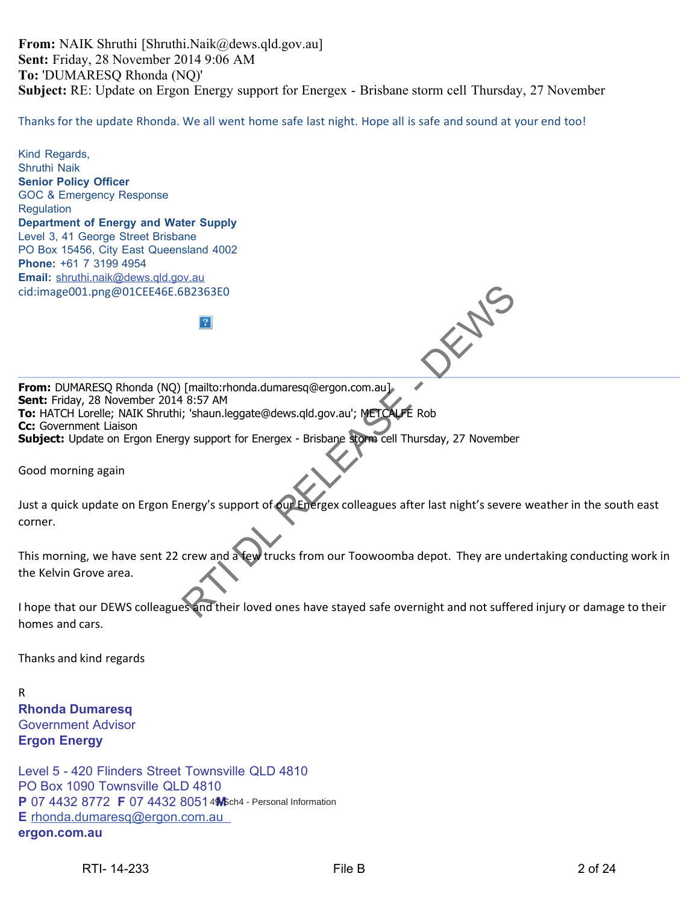**From:** NAIK Shruthi [Shruthi.Naik@dews.qld.gov.au] **Sent:** Friday, 28 November 2014 9:06 AM **To:** 'DUMARESQ Rhonda (NQ)' **Subject:** RE: Update on Ergon Energy support for Energex - Brisbane storm cell Thursday, 27 November

Thanks for the update Rhonda. We all went home safe last night. Hope all is safe and sound at your end too!

Kind Regards, Shruthi Naik **Senior Policy Officer** GOC & Emergency Response **Regulation Department of Energy and Water Supply** Level 3, 41 George Street Brisbane PO Box 15456, City East Queensland 4002 **Phone:** +61 7 3199 4954 **Email:** shruthi.naik@dews.qld.gov.au cid:image001.png@01CEE46E.6B2363E0 **From:** DUMARESQ Rhonda (NQ) [mailto:rhonda.dumaresq@ergon.com.au] **Sent:** Friday, 28 November 2014 8:57 AM **To:** HATCH Lorelle; NAIK Shruthi; 'shaun.leggate@dews.qld.gov.au'; METCALFE Rob **Cc:** Government Liaison **Subject:** Update on Ergon Energy support for Energex - Brisbane storm cell Thursday, 27 November Good morning again Just a quick update on Ergon Energy's support of our Energex colleagues after last night's severe weather in the south east corner. This morning, we have sent 22 crew and a few trucks from our Toowoomba depot. They are undertaking conducting work in the Kelvin Grove area. I hope that our DEWS colleagues and their loved ones have stayed safe overnight and not suffered injury or damage to their homes and cars. Thanks and kind regards R READ TO THE MARK CONTROL TO THE WATER CONTROLL AND THE MARK CONTROLL OF SHAMILE SCIENCILE RANGER AND A SUSPENDICT SUPPORT OF SHAMILE ROOM CONTROLL TO THE CALCULATION CONTROLL TO THE CALCULATION OF SUPPORT OF SUPPORT OF SUP

**Rhonda Dumaresq** Government Advisor **Ergon Energy**

Level 5 - 420 Flinders Street Townsville QLD 4810 PO Box 1090 Townsville QLD 4810 **P** 07 4432 8772 **F** 07 4432 8051 4 Sch4 - Personal Information **E** rhonda.dumaresq@ergon.com.au **ergon.com.au**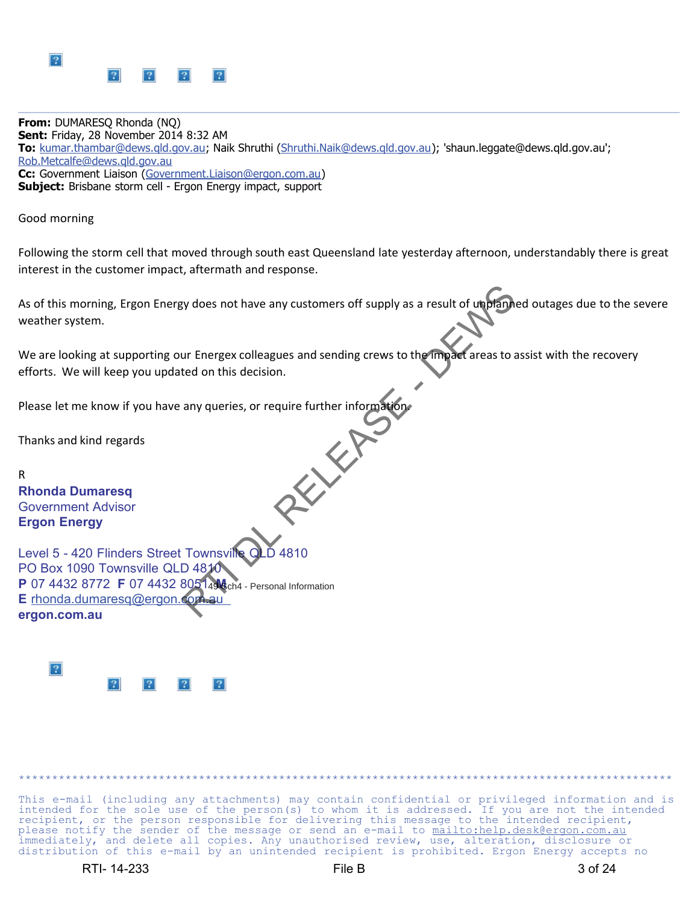

**From:** DUMARESQ Rhonda (NQ) **Sent:** Friday, 28 November 2014 8:32 AM **To:** kumar.thambar@dews.qld.gov.au; Naik Shruthi (Shruthi.Naik@dews.qld.gov.au); 'shaun.leggate@dews.qld.gov.au'; Rob.Metcalfe@dews.qld.gov.au **Cc:** Government Liaison (Government.Liaison@ergon.com.au) **Subject:** Brisbane storm cell - Ergon Energy impact, support

Good morning

Following the storm cell that moved through south east Queensland late yesterday afternoon, understandably there is great interest in the customer impact, aftermath and response.

As of this morning, Ergon Energy does not have any customers off supply as a result of unplanned outages due to the severe weather system.

We are looking at supporting our Energex colleagues and sending crews to the impact areas to assist with the recovery efforts. We will keep you updated on this decision.

Please let me know if you have any queries, or require further information.

Thanks and kind regards

R **Rhonda Dumaresq** Government Advisor **Ergon Energy**

Level 5 - 420 Flinders Street Townsville C PO Box 1090 Townsville QLD 4810 **P** 07 4432 8772 **F** 07 4432 8051 49 6ch4 - Personal Information **E** rhonda.dumaresq@ergon.com **ergon.com.au** By does not have any customers off supply as a result of upplant<br>ur Energex colleagues and sending crews to the manufacture areas to a<br>ted on this decision.<br>any queries, or require further information



This e-mail (including any attachments) may contain confidential or privileged information and is intended for the sole use of the person(s) to whom it is addressed. If you are not the intended recipient, or the person responsible for delivering this message to the intended recipient, please notify the sender of the message or send an e-mail to mailto:help.desk@ergon.com.au immediately, and delete all copies. Any unauthorised review, use, alteration, disclosure or distribution of this e-mail by an unintended recipient is prohibited. Ergon Energy accepts no

\*\*\*\*\*\*\*\*\*\*\*\*\*\*\*\*\*\*\*\*\*\*\*\*\*\*\*\*\*\*\*\*\*\*\*\*\*\*\*\*\*\*\*\*\*\*\*\*\*\*\*\*\*\*\*\*\*\*\*\*\*\*\*\*\*\*\*\*\*\*\*\*\*\*\*\*\*\*\*\*\*\*\*\*\*\*\*\*\*\*\*\*\*\*\*\*\*\*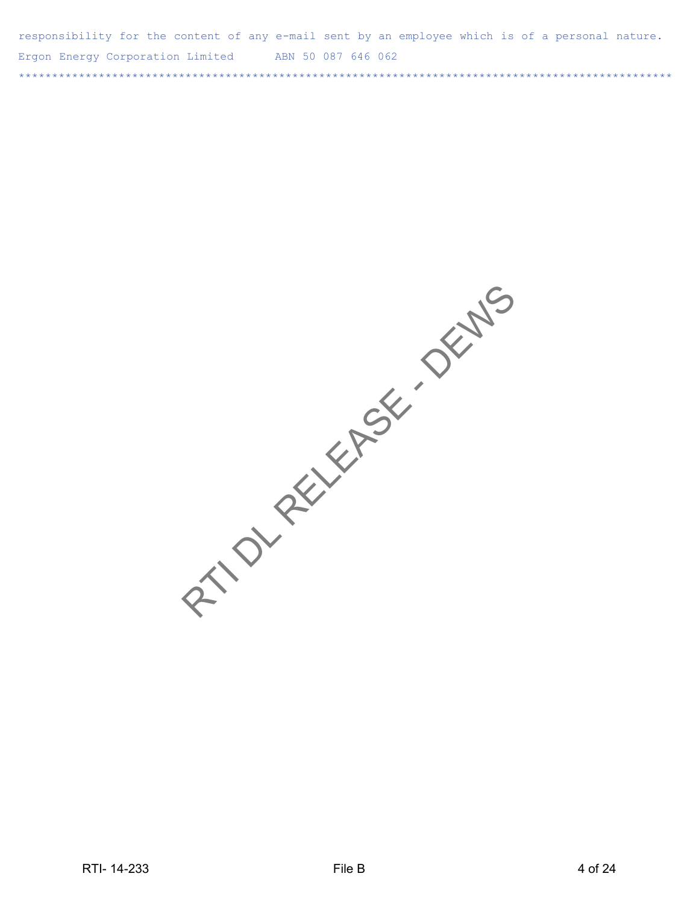| responsibility for the content of any e-mail sent by an employee which is of a personal nature. |                    |  |
|-------------------------------------------------------------------------------------------------|--------------------|--|
| Ergon Energy Corporation Limited                                                                | ABN 50 087 646 062 |  |
|                                                                                                 |                    |  |

RTION RELEASE OF DEVIS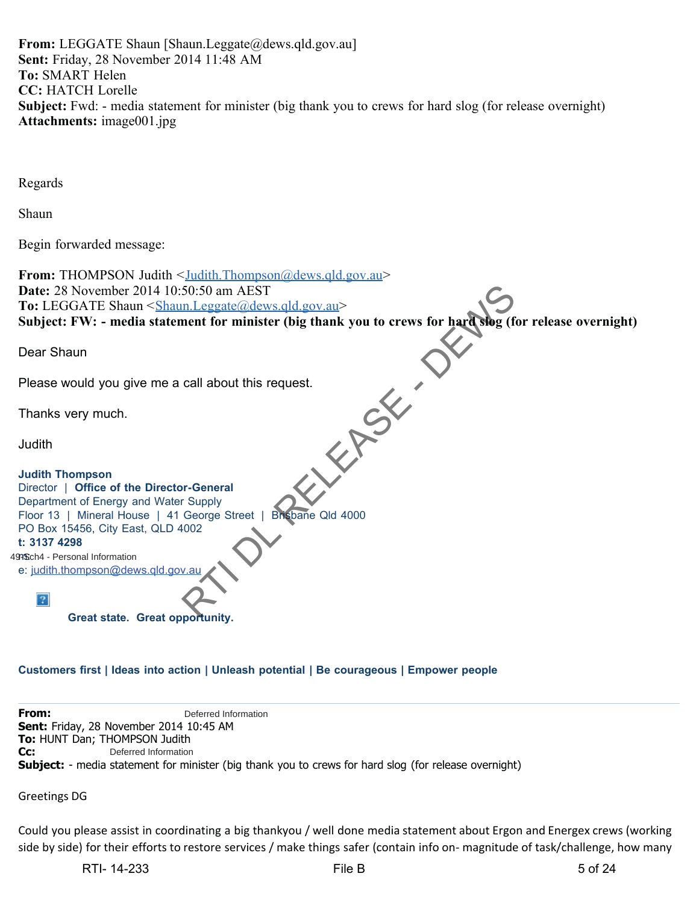**From:** LEGGATE Shaun [Shaun.Leggate@dews.qld.gov.au] **Sent:** Friday, 28 November 2014 11:48 AM **To:** SMART Helen **CC:** HATCH Lorelle **Subject:** Fwd: - media statement for minister (big thank you to crews for hard slog (for release overnight) **Attachments:** image001.jpg

Regards

Shaun

Begin forwarded message:

**From:** THOMPSON Judith <Judith.Thompson@dews.qld.gov.au> **Date:** 28 November 2014 10:50:50 am AEST **To:** LEGGATE Shaun <Shaun.Leggate@dews.qld.gov.au> **Subject: FW: - media statement for minister (big thank you to crews for hard slog (for release overnight) RELEASE DE** Dear Shaun Please would you give me a call about this request. Thanks very much. **Judith Judith Thompson** Director | **Office of the Director-General** Department of Energy and Water Supply Floor 13 | Mineral House | 41 George Street | Brisbane Qld 4000 PO Box 15456, City East, QLD 4002 **t: 3137 4298** 499Sch4 - Personal Information e: judith.thompson@dews.qld.gov.au  $|2|$ **Great state. Great opportunity.**

# **Customers first | Ideas into action | Unleash potential | Be courageous | Empower people**

**From: Sent:** Friday, 28 November 2014 10:45 AM **To:** HUNT Dan; THOMPSON Judith **Cc: Subject:** - media statement for minister (big thank you to crews for hard slog (for release overnight) Deferred Information Deferred Information

Greetings DG

Could you please assist in coordinating a big thankyou / well done media statement about Ergon and Energex crews (working side by side) for their efforts to restore services / make things safer (contain info on- magnitude of task/challenge, how many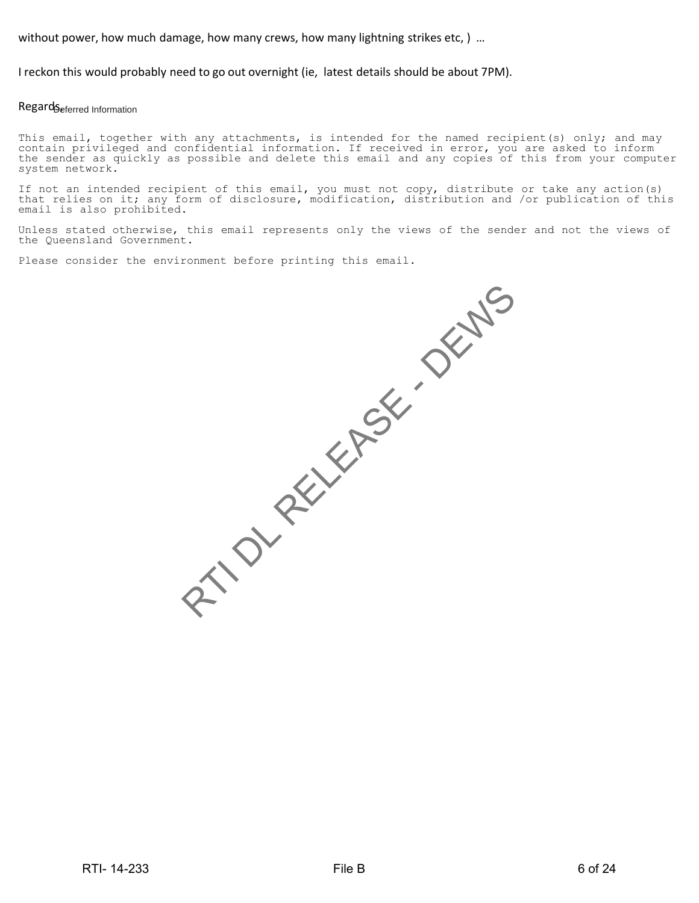without power, how much damage, how many crews, how many lightning strikes etc, ) …

I reckon this would probably need to go out overnight (ie, latest details should be about 7PM).

#### Regard Seferred Information

This email, together with any attachments, is intended for the named recipient(s) only; and may contain privileged and confidential information. If received in error, you are asked to inform the sender as quickly as possible and delete this email and any copies of this from your computer system network.

If not an intended recipient of this email, you must not copy, distribute or take any action(s) that relies on it; any form of disclosure, modification, distribution and /or publication of this email is also prohibited.

Unless stated otherwise, this email represents only the views of the sender and not the views of the Queensland Government.

Please consider the environment before printing this email.

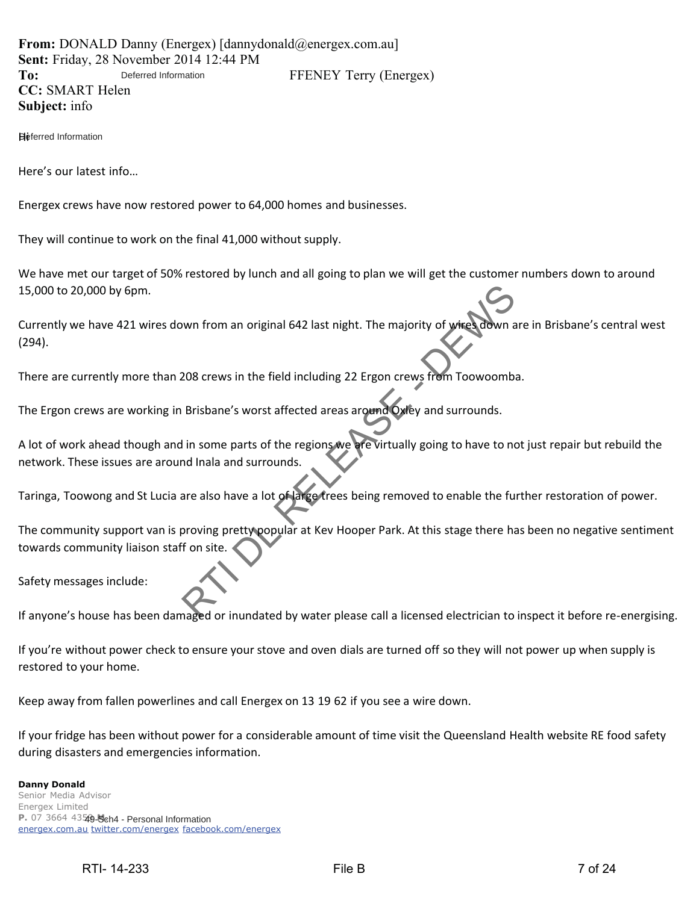**From:** DONALD Danny (Energex) [dannydonald@energex.com.au] **Sent:** Friday, 28 November 2014 12:44 PM To: Deferred Information FFENEY Terry (Energex) **CC:** SMART Helen **Subject:** info Deferred Information

Heferred Information

Here's our latest info…

Energex crews have now restored power to 64,000 homes and businesses.

They will continue to work on the final 41,000 without supply.

We have met our target of 50% restored by lunch and all going to plan we will get the customer numbers down to around 15,000 to 20,000 by 6pm.

Currently we have 421 wires down from an original 642 last night. The majority of wires down are in Brisbane's central west (294).

There are currently more than 208 crews in the field including 22 Ergon crews from Toowoomba.

The Ergon crews are working in Brisbane's worst affected areas around Oxley and surrounds.

A lot of work ahead though and in some parts of the regions we are virtually going to have to not just repair but rebuild the network. These issues are around Inala and surrounds. Wun from an original 642 last night. The majority of wheel down a<br>208 crews in the field including 22 Ergon crews from Toowoombi<br>Brisbane's worst affected areas around Oxley and surrounds.<br>In some parts of the regions we a

Taringa, Toowong and St Lucia are also have a lot of large trees being removed to enable the further restoration of power.

The community support van is proving pretty popular at Kev Hooper Park. At this stage there has been no negative sentiment towards community liaison staff on site.

Safety messages include:

If anyone's house has been damaged or inundated by water please call a licensed electrician to inspect it before re-energising.

If you're without power check to ensure your stove and oven dials are turned off so they will not power up when supply is restored to your home.

Keep away from fallen powerlines and call Energex on 13 19 62 if you see a wire down.

If your fridge has been without power for a considerable amount of time visit the Queensland Health website RE food safety during disasters and emergencies information.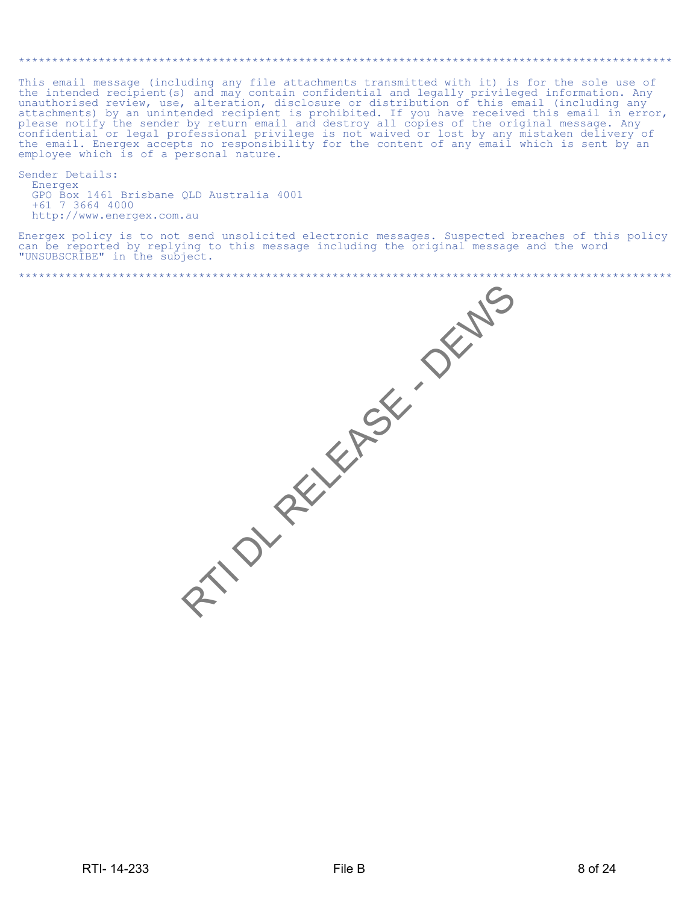This email message (including any file attachments transmitted with it) is for the sole use of Instrument message (including any interaction confidential and legally privileged information. Any unauthorised review, use, alteration, disclosure or distribution of this email (including any attachments) by an unintended employee which is of a personal nature.

Sender Details: Energex GPO Box 1461 Brisbane QLD Australia 4001 +61 7 3664 4000<br>http://www.energex.com.au

Energex policy is to not send unsolicited electronic messages. Suspected breaches of this policy can be reported by replying to this message including the original message and the word<br>"UNSUBSCRIBE" in the subject.

RTIONARIANS CENSO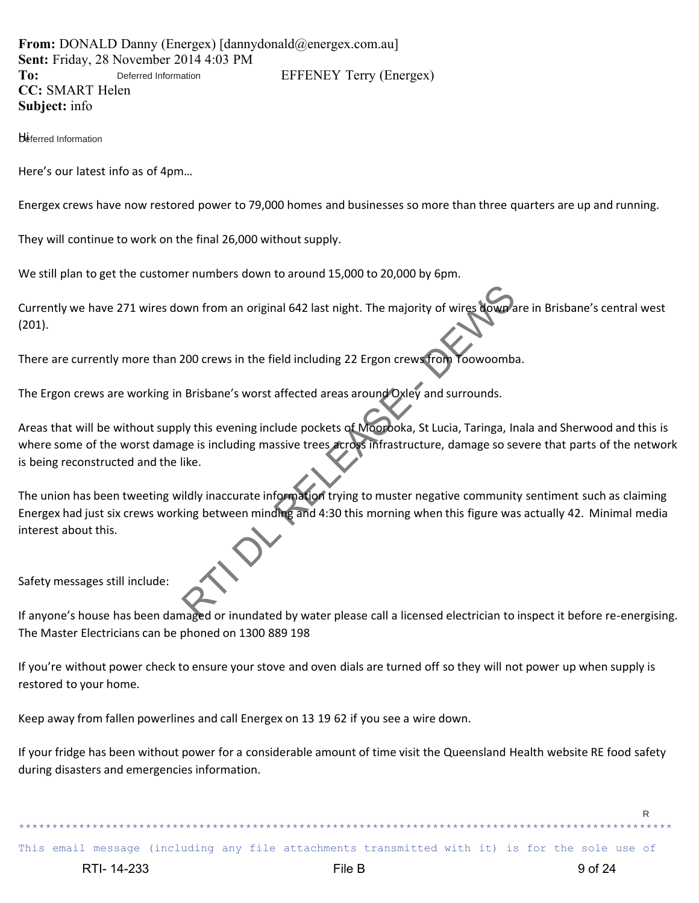**From:** DONALD Danny (Energex) [dannydonald@energex.com.au] **Sent:** Friday, 28 November 2014 4:03 PM To: Deferred Information EFFENEY Terry (Energex) **CC:** SMART Helen **Subject:** info Deferred Information

**Deferred Information** 

Here's our latest info as of 4pm…

Energex crews have now restored power to 79,000 homes and businesses so more than three quarters are up and running.

They will continue to work on the final 26,000 without supply.

We still plan to get the customer numbers down to around 15,000 to 20,000 by 6pm.

Currently we have 271 wires down from an original 642 last night. The majority of wires down are in Brisbane's central west (201).

There are currently more than 200 crews in the field including 22 Ergon crews from Toowoomba.

The Ergon crews are working in Brisbane's worst affected areas around Oxley and surrounds.

Areas that will be without supply this evening include pockets of Moorooka, St Lucia, Taringa, Inala and Sherwood and this is where some of the worst damage is including massive trees across infrastructure, damage so severe that parts of the network is being reconstructed and the like.

The union has been tweeting wildly inaccurate information trying to muster negative community sentiment such as claiming Energex had just six crews working between minding and 4:30 this morning when this figure was actually 42. Minimal media interest about this. wom from an original 642 last night. The majority of wires Nowplant<br>
200 crews in the field including 22 Ergon crews from Yoowoombi<br>
Brisbane's worst affected areas around Oxley and surrounds.<br>
Ily this evening include poc

Safety messages still include:

If anyone's house has been damaged or inundated by water please call a licensed electrician to inspect it before re-energising. The Master Electricians can be phoned on 1300 889 198

If you're without power check to ensure your stove and oven dials are turned off so they will not power up when supply is restored to your home.

Keep away from fallen powerlines and call Energex on 13 19 62 if you see a wire down.

If your fridge has been without power for a considerable amount of time visit the Queensland Health website RE food safety during disasters and emergencies information.

This email message (including any file attachments transmitted with it) is for the sole use of

R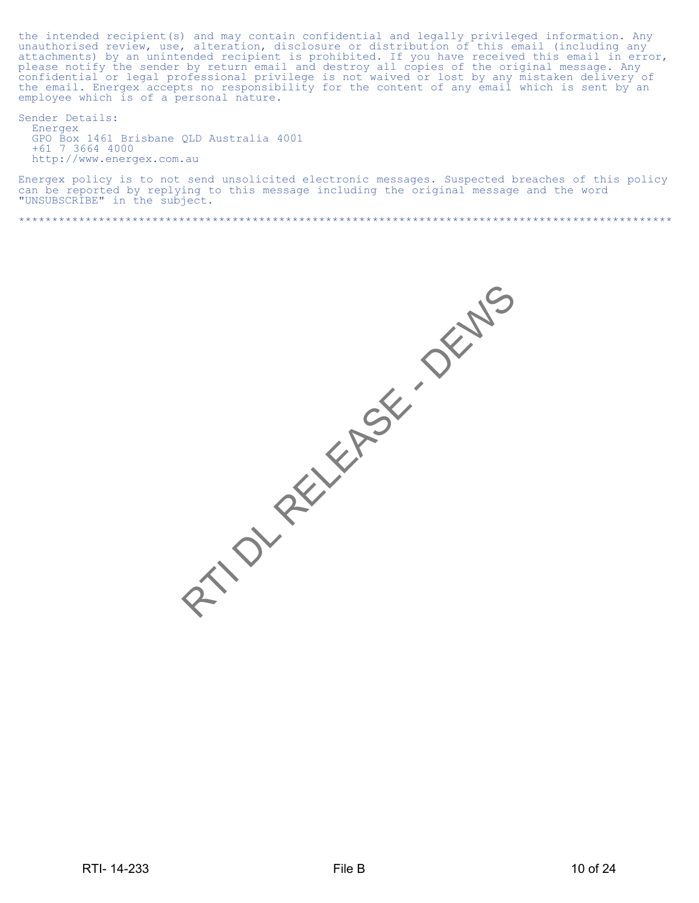the intended recipient(s) and may contain confidential and legally privileged information. Any unauthorised review, use, alteration, disclosure or distribution of this email (including any attachments) by an unintended recipient is prohibited. If you have received this email in error, please notify the sender by return email and destroy all copies of the original message. Any confidential or legal profession employee which is of a personal nature.

Sender Details: Energex GPO Box 1461 Brisbane QLD Australia 4001 +61 7 3664 4000 http://www.energex.com.au

Energex policy is to not send unsolicited electronic messages. Suspected breaches of this policy<br>can be reported by replying to this message including the original message and the word<br>"UNSUBSCRIBE" in the subject.

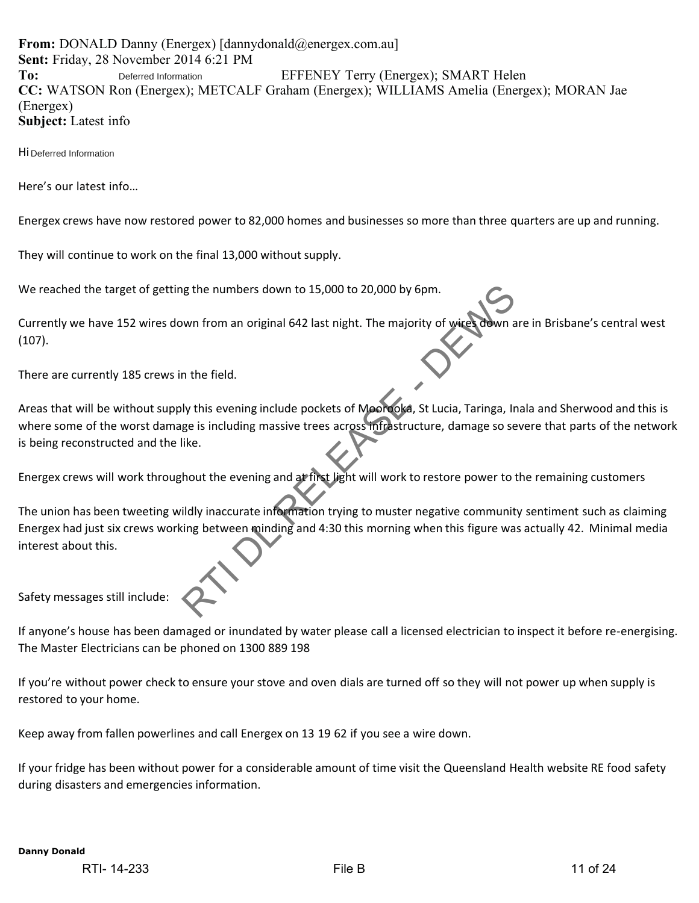**From:** DONALD Danny (Energex) [dannydonald@energex.com.au] **Sent:** Friday, 28 November 2014 6:21 PM To: Deferred Information EFFENEY Terry (Energex); SMART Helen **CC:** WATSON Ron (Energex); METCALF Graham (Energex); WILLIAMS Amelia (Energex); MORAN Jae (Energex) **Subject:** Latest info Deferred Information

Hi Deferred Information

Here's our latest info…

Energex crews have now restored power to 82,000 homes and businesses so more than three quarters are up and running.

They will continue to work on the final 13,000 without supply.

We reached the target of getting the numbers down to 15,000 to 20,000 by 6pm.

Currently we have 152 wires down from an original 642 last night. The majority of wires down are in Brisbane's central west (107).

There are currently 185 crews in the field.

Areas that will be without supply this evening include pockets of Moorooka, St Lucia, Taringa, Inala and Sherwood and this is where some of the worst damage is including massive trees across infrastructure, damage so severe that parts of the network is being reconstructed and the like.

Energex crews will work throughout the evening and at first light will work to restore power to the remaining customers

The union has been tweeting wildly inaccurate information trying to muster negative community sentiment such as claiming Energex had just six crews working between minding and 4:30 this morning when this figure was actually 42. Minimal media interest about this. In the field.<br>
Wun from an original 642 last night. The majority of wire adwn a<br>
In the field.<br>
Ily this evening include pockets of Mooreova, St Lucia, Taringa, In<br>
ge is including massive trees across fifted structure, da

Safety messages still include:

If anyone's house has been damaged or inundated by water please call a licensed electrician to inspect it before re-energising. The Master Electricians can be phoned on 1300 889 198

If you're without power check to ensure your stove and oven dials are turned off so they will not power up when supply is restored to your home.

Keep away from fallen powerlines and call Energex on 13 19 62 if you see a wire down.

If your fridge has been without power for a considerable amount of time visit the Queensland Health website RE food safety during disasters and emergencies information.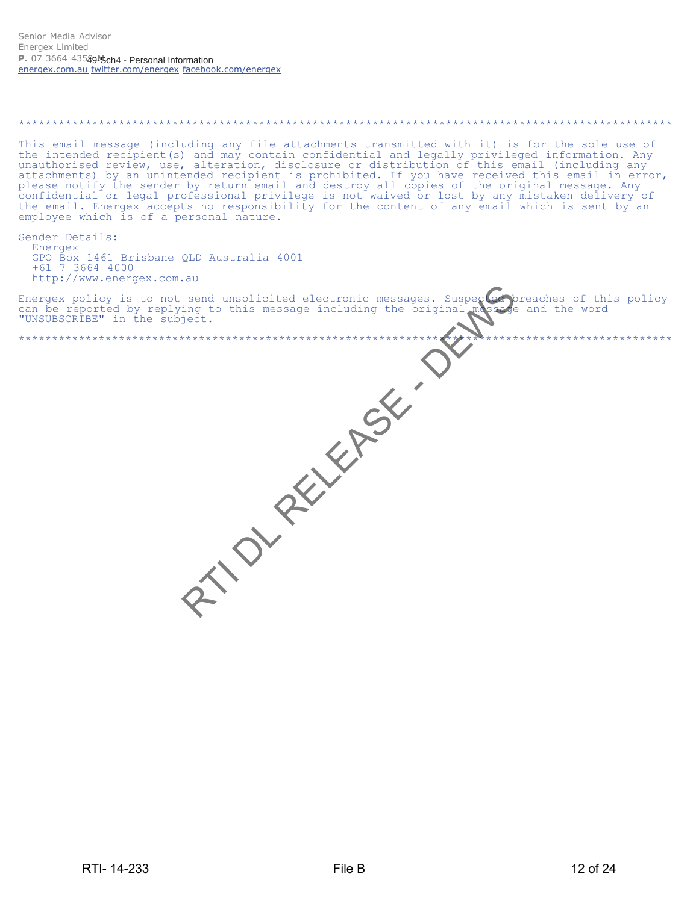# This email message (including any file attachments transmitted with it) is for the sole use of the intended recipient(s) and may contain confidential and legally privileged information. Any unauthorised review, use, altera different text. The professional privilege is not visible of the critical control of the sender (including any<br>please notify the sender by return email and destroy all copies of the original message. Any<br>confidential or le employee which is of a personal nature. Sender Details: Energex GPO Box 1461 Brisbane QLD Australia 4001 +61 7 3664 4000 RTIONALLYASKI http://www.energex.com.au Energex policy is to not send unsolicited electronic messages. Suspected breaches of this policy can be reported by replying to this message including the original massage and the word "UNSUBSCRIBE" in the subject.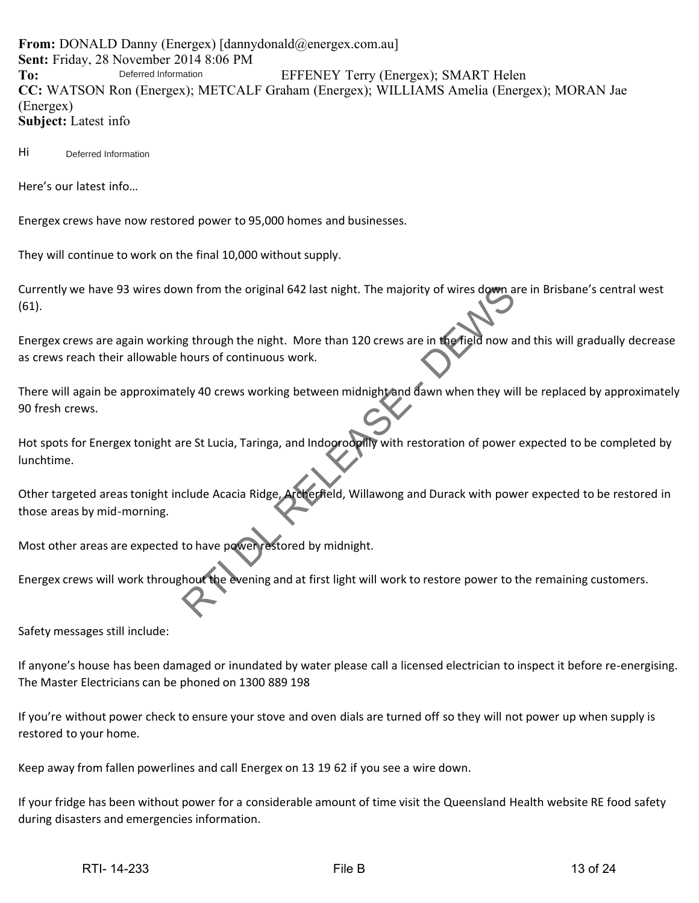**From:** DONALD Danny (Energex) [dannydonald@energex.com.au] **Sent:** Friday, 28 November 2014 8:06 PM To: Deferred Information EFFENEY Terry (Energex); SMART Helen **CC:** WATSON Ron (Energex); METCALF Graham (Energex); WILLIAMS Amelia (Energex); MORAN Jae (Energex) **Subject:** Latest info Deferred Information

Hi Deferred Information

Here's our latest info…

Energex crews have now restored power to 95,000 homes and businesses.

They will continue to work on the final 10,000 without supply.

Currently we have 93 wires down from the original 642 last night. The majority of wires down are in Brisbane's central west (61).

Energex crews are again working through the night. More than 120 crews are in the field now and this will gradually decrease as crews reach their allowable hours of continuous work.

There will again be approximately 40 crews working between midnight and dawn when they will be replaced by approximately 90 fresh crews.

Hot spots for Energex tonight are St Lucia, Taringa, and Indooroopilly with restoration of power expected to be completed by lunchtime. What from the original 642 last night. The majority of wires down a<br>
g through the night. More than 120 crews are in the field now a<br>
nours of continuous work.<br>
Lely 40 crews working between midnight and dawn when they wil

Other targeted areas tonight include Acacia Ridge, Archerfield, Willawong and Durack with power expected to be restored in those areas by mid-morning.

Most other areas are expected to have power restored by midnight.

Energex crews will work throughout the evening and at first light will work to restore power to the remaining customers.

Safety messages still include:

If anyone's house has been damaged or inundated by water please call a licensed electrician to inspect it before re-energising. The Master Electricians can be phoned on 1300 889 198

If you're without power check to ensure your stove and oven dials are turned off so they will not power up when supply is restored to your home.

Keep away from fallen powerlines and call Energex on 13 19 62 if you see a wire down.

If your fridge has been without power for a considerable amount of time visit the Queensland Health website RE food safety during disasters and emergencies information.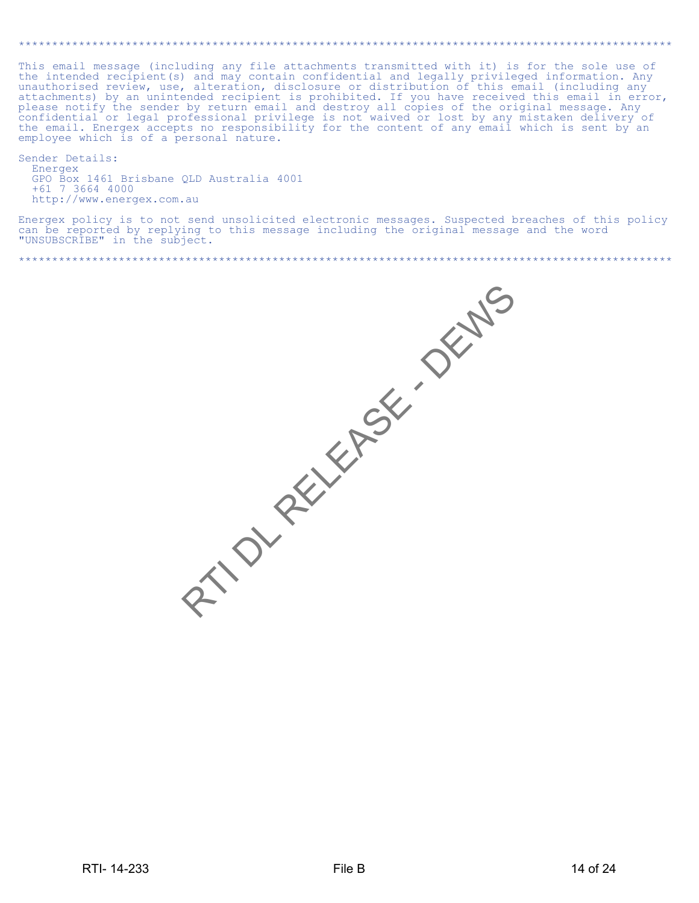This email message (including any file attachments transmitted with it) is for the sole use of<br>the intended recipient(s) and may contain confidential and legally privileged information. Any<br>unauthorised review, use, altera attachments) by an unintended recipient is prohibited. If you have received this email in error, please notify the sender by return email and destroy all copies of the original message. Any confidential or legal profession employee which is of a personal nature.

Sender Details: Energex GPO Box 1461 Brisbane QLD Australia 4001 +61 7 3664 4000<br>http://www.energex.com.au

Energex policy is to not send unsolicited electronic messages. Suspected breaches of this policy can be reported by replying to this message including the original message and the word<br>"UNSUBSCRIBE" in the subject.

RIVOLAELEA SENSO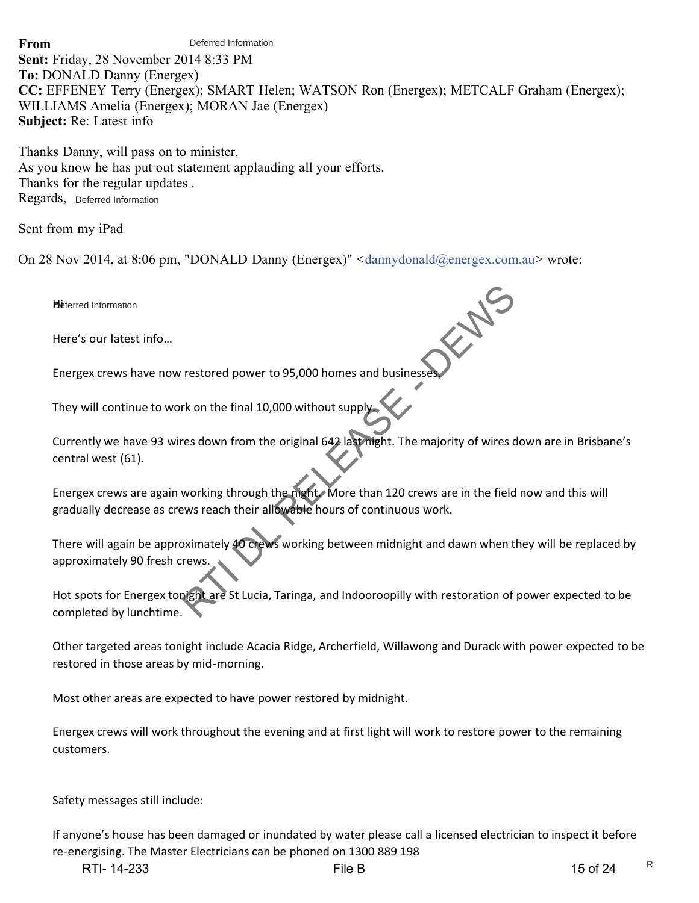### **From**

Deferred Information

**Sent:** Friday, 28 November 2014 8:33 PM **To:** DONALD Danny (Energex) **CC:** EFFENEY Terry (Energex); SMART Helen; WATSON Ron (Energex); METCALF Graham (Energex); WILLIAMS Amelia (Energex); MORAN Jae (Energex) **Subject:** Re: Latest info

Thanks Danny, will pass on to minister. As you know he has put out statement applauding all your efforts. Thanks for the regular updates . Regards, Deferred Information

Sent from my iPad

On 28 Nov 2014, at 8:06 pm, "DONALD Danny (Energex)" <dannydonald@energex.com.au> wrote:

Heferred Information

Here's our latest info…

Energex crews have now restored power to 95,000 homes and business

They will continue to work on the final 10,000 without supply.

Currently we have 93 wires down from the original 642 last night. The majority of wires down are in Brisbane's central west (61). restored power to 95,000 homes and businesses.<br>The content of the final 10,000 without supply<br>res down from the original 642 laternight. The majority of wires down<br>working through the matrix More than 120 crews are in the

Energex crews are again working through the night. More than 120 crews are in the field now and this will gradually decrease as crews reach their allowable hours of continuous work.

There will again be approximately 40 crews working between midnight and dawn when they will be replaced by approximately 90 fresh crews.

Hot spots for Energex tonight are St Lucia, Taringa, and Indooroopilly with restoration of power expected to be completed by lunchtime.

Other targeted areas tonight include Acacia Ridge, Archerfield, Willawong and Durack with power expected to be restored in those areas by mid-morning.

Most other areas are expected to have power restored by midnight.

Energex crews will work throughout the evening and at first light will work to restore power to the remaining customers.

Safety messages still include:

If anyone's house has been damaged or inundated by water please call a licensed electrician to inspect it before re-energising. The Master Electricians can be phoned on 1300 889 198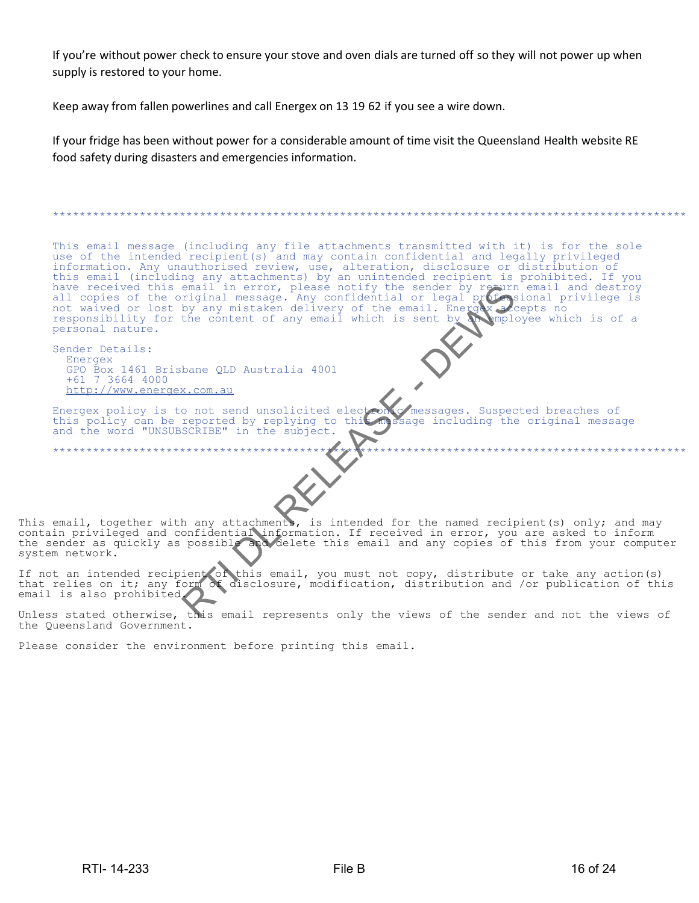If you're without power check to ensure your stove and oven dials are turned off so they will not power up when supply is restored to your home.

Keep away from fallen powerlines and call Energex on 13 19 62 if you see a wire down.

If your fridge has been without power for a considerable amount of time visit the Queensland Health website RE food safety during disasters and emergencies information.

This email message (including any file attachments transmitted with it) is for the sole use of the intended recipient(s) and may contain confidential and legally privileged information. Any unauthorised review, use, alteration, disclosure or distribution of<br>this email (including any attachments) by an unintended recipient is prohibited. If you<br>have received this email in error, please notify personal nature. Sender Details: Energex GPO Box 1461 Brisbane QLD Australia 4001 +61 7 3664 4000<br>http://www.energex.com.au Energex policy is to not send unsolicited electron of messages. Suspected breaches of this policy can be reported by replying to this message including the original messa and the word "UNSUBSCRIBE" in the subject. sage including the original message \*\*\*\*\*\*\*\*\*\*\*\*\*\*\*\*\*\*\*\*\*\*\*  $\mathcal{C}$ This email, together with any attachments, is intended for the named recipient (s) only; and may contain privileged and confidential information. If received in error, you are asked to inform<br>the sender as quickly as possible and delete this email and any copies of this from your computer system network.

If not an intended recipient of this email, you must not copy, distribute or take any action(s) that relies on it, any form of disclosure, modification, distribution and /or publication of this email is also prohibited.

Unless stated otherwise, this email represents only the views of the sender and not the views of the Queensland Government.

Please consider the environment before printing this email.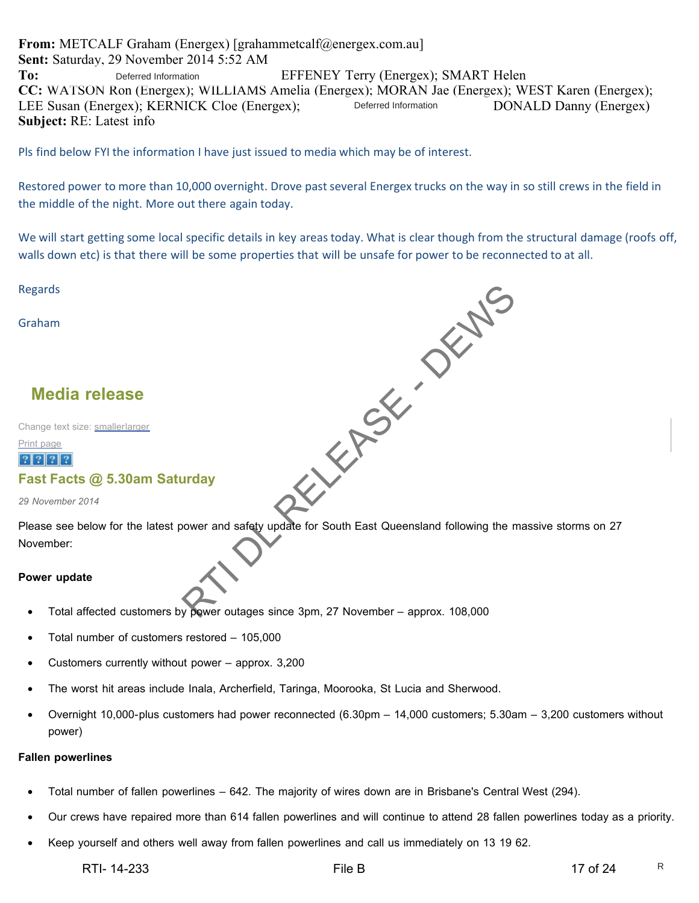**From:** METCALF Graham (Energex) [grahammetcalf@energex.com.au] **Sent:** Saturday, 29 November 2014 5:52 AM To: Deferred Information EFFENEY Terry (Energex); SMART Helen **CC:** WATSON Ron (Energex); WILLIAMS Amelia (Energex); MORAN Jae (Energex); WEST Karen (Energex); LEE Susan (Energex); KERNICK Cloe (Energex); Deferred Information DONALD Danny (Energex) **Subject:** RE: Latest info Deferred Information Deferred Information

Pls find below FYI the information I have just issued to media which may be of interest.

Restored power to more than 10,000 overnight. Drove past several Energex trucks on the way in so still crews in the field in the middle of the night. More out there again today.

We will start getting some local specific details in key areas today. What is clear though from the structural damage (roofs off, walls down etc) is that there will be some properties that will be unsafe for power to be reconnected to at all.

Regards

Graham

# **Media release**

Change text size: smallerlarger

Print page

# $|?|?|?|?$

# **Fast Facts @ 5.30am Saturday**

*29 November 2014*

Please see below for the latest power and safety update for South East Queensland following the massive storms on 27 November: RTIN DRY DEWS

#### **Power update**

- Total affected customers by power outages since 3pm, 27 November approx. 108,000
- Total number of customers restored 105,000
- Customers currently without power  $-$  approx. 3,200
- The worst hit areas include Inala, Archerfield, Taringa, Moorooka, St Lucia and Sherwood.
- Overnight 10,000-plus customers had power reconnected (6.30pm 14,000 customers; 5.30am 3,200 customers without power)

#### **Fallen powerlines**

- Total number of fallen powerlines 642. The majority of wires down are in Brisbane's Central West (294).
- Our crews have repaired more than 614 fallen powerlines and will continue to attend 28 fallen powerlines today as a priority.
- Keep yourself and others well away from fallen powerlines and call us immediately on 13 19 62.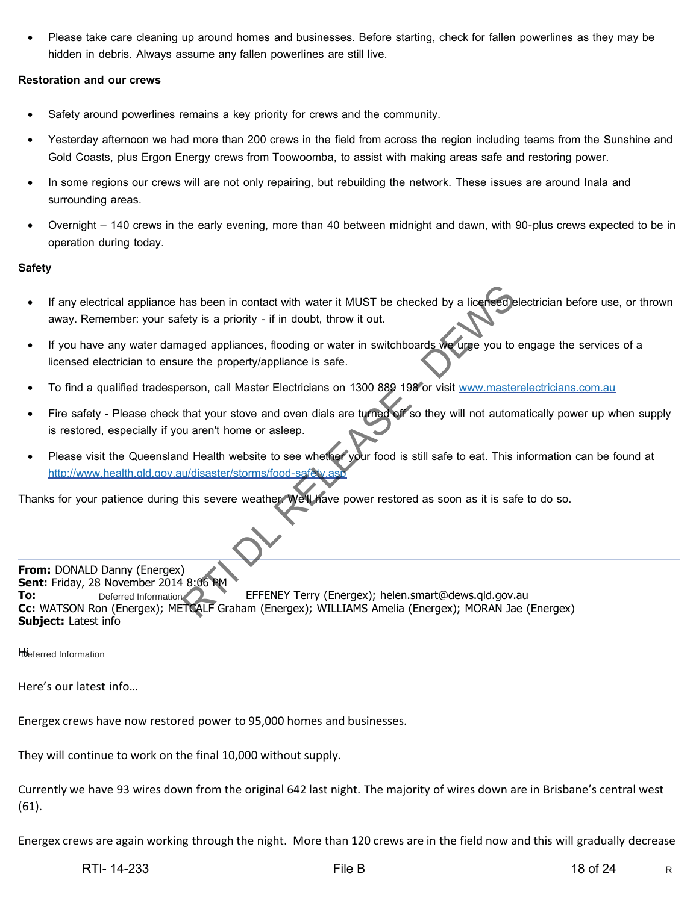• Please take care cleaning up around homes and businesses. Before starting, check for fallen powerlines as they may be hidden in debris. Always assume any fallen powerlines are still live.

#### **Restoration and our crews**

- Safety around powerlines remains a key priority for crews and the community.
- Yesterday afternoon we had more than 200 crews in the field from across the region including teams from the Sunshine and Gold Coasts, plus Ergon Energy crews from Toowoomba, to assist with making areas safe and restoring power.
- In some regions our crews will are not only repairing, but rebuilding the network. These issues are around Inala and surrounding areas.
- Overnight 140 crews in the early evening, more than 40 between midnight and dawn, with 90-plus crews expected to be in operation during today.

#### **Safety**

- If any electrical appliance has been in contact with water it MUST be checked by a licensed electrician before use, or thrown away. Remember: your safety is a priority - if in doubt, throw it out.
- If you have any water damaged appliances, flooding or water in switchboards we urge you to engage the services of a licensed electrician to ensure the property/appliance is safe.
- To find a qualified tradesperson, call Master Electricians on 1300 889 198 or visit www.masterelectricians.com.au
- Fire safety Please check that your stove and oven dials are turned off so they will not automatically power up when supply is restored, especially if you aren't home or asleep.
- Please visit the Queensland Health website to see whether your food is still safe to eat. This information can be found at http://www.health.qld.gov.au/disaster/storms/food-safety.as

Thanks for your patience during this severe weather. We'll have power restored as soon as it is safe to do so.



**Ibi** eferred Information

Here's our latest info…

Energex crews have now restored power to 95,000 homes and businesses.

They will continue to work on the final 10,000 without supply.

Currently we have 93 wires down from the original 642 last night. The majority of wires down are in Brisbane's central west (61).

Energex crews are again working through the night. More than 120 crews are in the field now and this will gradually decrease

R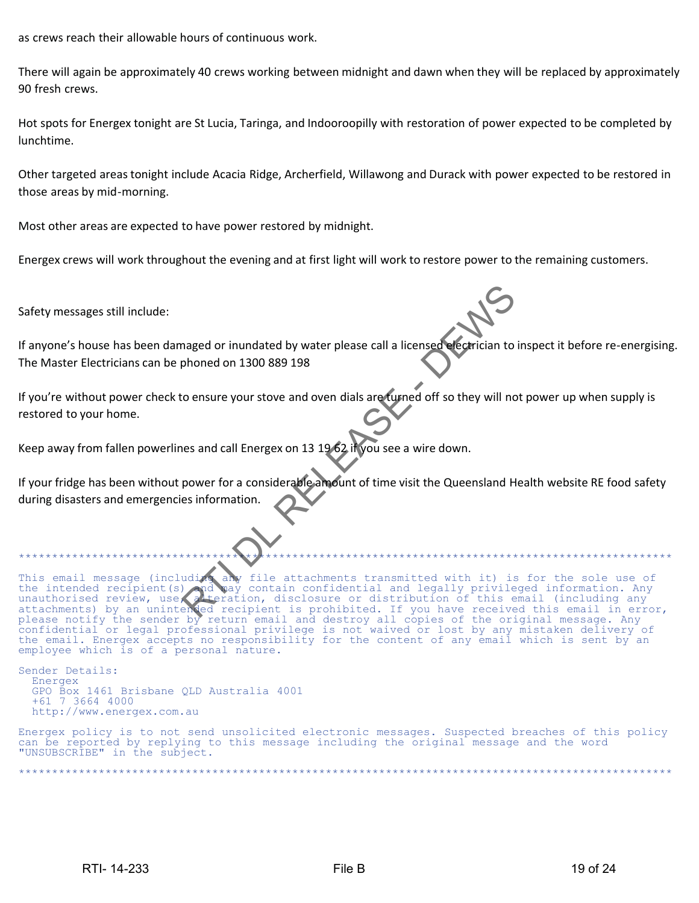as crews reach their allowable hours of continuous work.

There will again be approximately 40 crews working between midnight and dawn when they will be replaced by approximately 90 fresh crews.

Hot spots for Energex tonight are St Lucia, Taringa, and Indooroopilly with restoration of power expected to be completed by lunchtime.

Other targeted areas tonight include Acacia Ridge, Archerfield, Willawong and Durack with power expected to be restored in those areas by mid-morning.

Most other areas are expected to have power restored by midnight.

Energex crews will work throughout the evening and at first light will work to restore power to the remaining customers.

Safety messages still include:

If anyone's house has been damaged or inundated by water please call a licensed electrician to inspect it before re-energising. The Master Electricians can be phoned on 1300 889 198

If you're without power check to ensure your stove and oven dials are turned off so they will not power up when supply is restored to your home.

Keep away from fallen powerlines and call Energex on 13 19 62 if you see a wire down.

If your fridge has been without power for a considerable amount of time visit the Queensland Health website RE food safety during disasters and emergencies information.

This email message (including any file attachments transmitted with it) is for the sole use of<br>the intended recipient(s) and way contain confidential and legally privileged information. Any the intended recipient(s) and may contain confidential and legally privileged information. Any<br>unauthorised review, use, alteration, disclosure or distribution of this email (including any teration, disclosure or distribution of this email (including any attachments) by an unintended recipient is prohibited. If you have received this email in error, please notify the sender by return email and destroy all copies of the original message. Any confidential or legal professional privilege is not waived or lost by any mistaken delivery of the email. Energex accepts no responsibility for the content of any email which is sent by an employee which is of a personal nature. Resignation and the phonology and the phonology and the content of the content of the content of the content of the content of the content of the content of the content of the content of the content of the content of the c

Sender Details: Energex GPO Box 1461 Brisbane QLD Australia 4001 +61 7 3664 4000 http://www.energex.com.au

Energex policy is to not send unsolicited electronic messages. Suspected breaches of this policy can be reported by replying to this message including the original message and the word "UNSUBSCRIBE" in the subject.

\*\*\*\*\*\*\*\*\*\*\*\*\*\*\*\*\*\*\*\*\*\*\*\*\*\*\*\*\*\*\*\*\*\*\*\*\*\*\*\*\*\*\*\*\*\*\*\*\*\*\*\*\*\*\*\*\*\*\*\*\*\*\*\*\*\*\*\*\*\*\*\*\*\*\*\*\*\*\*\*\*\*\*\*\*\*\*\*\*\*\*\*\*\*\*\*\*\*

\*\*\*\*\*\*\*\*\*\*\*\*\*\*\*\*\*\*\*\*\*\*\*\*\*\*\*\*\*\*\*\*\*\*\*\*\*\*\*\*\*\*\*\*\*\*\*\*\*\*\*\*\*\*\*\*\*\*\*\*\*\*\*\*\*\*\*\*\*\*\*\*\*\*\*\*\*\*\*\*\*\*\*\*\*\*\*\*\*\*\*\*\*\*\*\*\*\*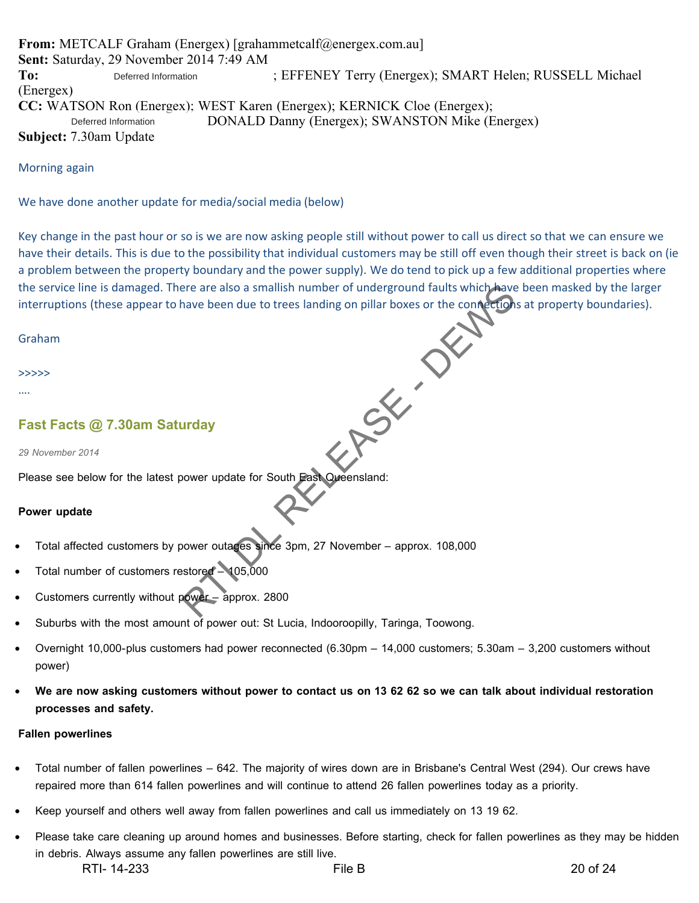**From:** METCALF Graham (Energex) [grahammetcalf@energex.com.au] **Sent:** Saturday, 29 November 2014 7:49 AM To: Deferred Information : EFFENEY Terry (Energex); SMART Helen; RUSSELL Michael (Energex) **CC:** WATSON Ron (Energex); WEST Karen (Energex); KERNICK Cloe (Energex); DONALD Danny (Energex); SWANSTON Mike (Energex) **Subject:** 7.30am Update Deferred Information Deferred Information

Morning again

We have done another update for media/social media (below)

Key change in the past hour or so is we are now asking people still without power to call us direct so that we can ensure we have their details. This is due to the possibility that individual customers may be still off even though their street is back on (ie a problem between the property boundary and the power supply). We do tend to pick up a few additional properties where the service line is damaged. There are also a smallish number of underground faults which have been masked by the larger interruptions (these appear to have been due to trees landing on pillar boxes or the connections at property boundaries). RTI DR. P.

Graham

>>>>>

….

# **Fast Facts @ 7.30am Saturday**

*29 November 2014*

Please see below for the latest power update for South East Queensland:

#### **Power update**

- Total affected customers by power outages since 3pm, 27 November approx. 108,000
- Total number of customers restored 105,000
- Customers currently without power approx. 2800
- Suburbs with the most amount of power out: St Lucia, Indooroopilly, Taringa, Toowong.
- Overnight 10,000-plus customers had power reconnected (6.30pm 14,000 customers; 5.30am 3,200 customers without power)
- **We are now asking customers without power to contact us on 13 62 62 so we can talk about individual restoration processes and safety.**

#### **Fallen powerlines**

- Total number of fallen powerlines 642. The majority of wires down are in Brisbane's Central West (294). Our crews have repaired more than 614 fallen powerlines and will continue to attend 26 fallen powerlines today as a priority.
- Keep yourself and others well away from fallen powerlines and call us immediately on 13 19 62.
- Please take care cleaning up around homes and businesses. Before starting, check for fallen powerlines as they may be hidden in debris. Always assume any fallen powerlines are still live. RTI- 14-233 File B 20 of 24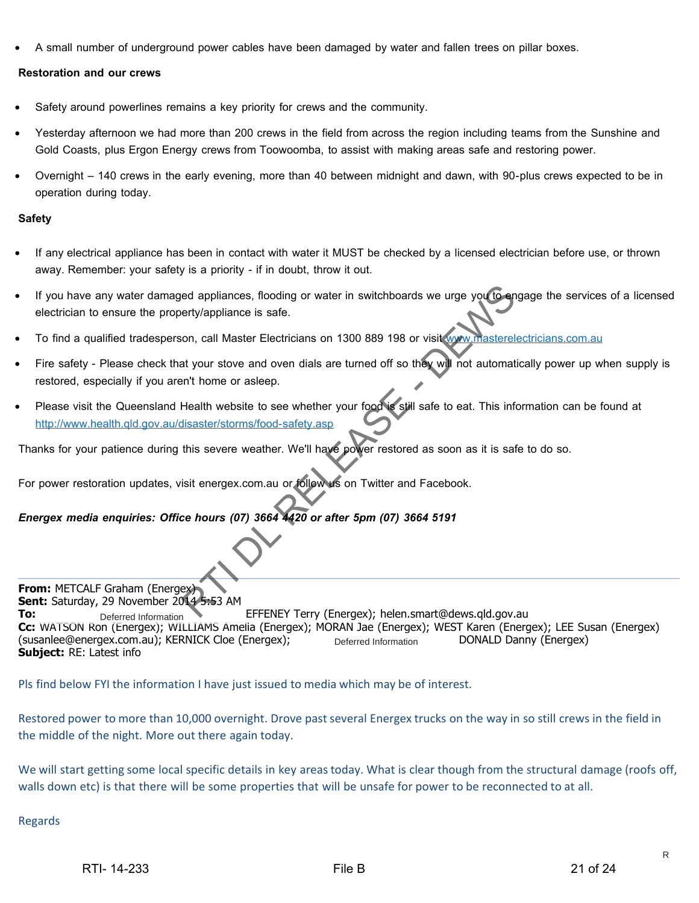• A small number of underground power cables have been damaged by water and fallen trees on pillar boxes.

#### **Restoration and our crews**

- Safety around powerlines remains a key priority for crews and the community.
- Yesterday afternoon we had more than 200 crews in the field from across the region including teams from the Sunshine and Gold Coasts, plus Ergon Energy crews from Toowoomba, to assist with making areas safe and restoring power.
- Overnight 140 crews in the early evening, more than 40 between midnight and dawn, with 90-plus crews expected to be in operation during today.

#### **Safety**

- If any electrical appliance has been in contact with water it MUST be checked by a licensed electrician before use, or thrown away. Remember: your safety is a priority - if in doubt, throw it out.
- If you have any water damaged appliances, flooding or water in switchboards we urge you to engage the services of a licensed electrician to ensure the property/appliance is safe.
- To find a qualified tradesperson, call Master Electricians on 1300 889 198 or visit www.masterelectricians.com.au
- Fire safety Please check that your stove and oven dials are turned off so they will not automatically power up when supply is restored, especially if you aren't home or asleep.
- Please visit the Queensland Health website to see whether your food is still safe to eat. This information can be found at http://www.health.qld.gov.au/disaster/storms/food-safety.asp

Thanks for your patience during this severe weather. We'll have power restored as soon as it is safe to do so.

For power restoration updates, visit energex.com.au or follow us on Twitter and Facebook.

*Energex media enquiries: Office hours (07) 3664 4420 or after 5pm (07) 3664 5191*

**From:** METCALF Graham (Energex) **Sent:** Saturday, 29 November 2014 5:53 AM **To:** Deferred Information **EFFENEY Terry (Energex); helen.smart@dews.qld.gov.au Cc:** WATSON Ron (Energex); WILLIAMS Amelia (Energex); MORAN Jae (Energex); WEST Karen (Energex); LEE Susan (Energex) (susanlee@energex.com.au); KERNICK Cloe (Energex); Deferred Information DONALD Danny (Energex) **Subject:** RE: Latest info Deferred Information Deferred Information ed appliances, flooding or water in switchboards we urge you to entry/appliance is safe.<br>
on, call Master Electricians on 1300 889 198 or visit www.masterelians<br>
at your stove and oven dials are turned off so they will not

Pls find below FYI the information I have just issued to media which may be of interest.

Restored power to more than 10,000 overnight. Drove past several Energex trucks on the way in so still crews in the field in the middle of the night. More out there again today.

We will start getting some local specific details in key areas today. What is clear though from the structural damage (roofs off, walls down etc) is that there will be some properties that will be unsafe for power to be reconnected to at all.

Regards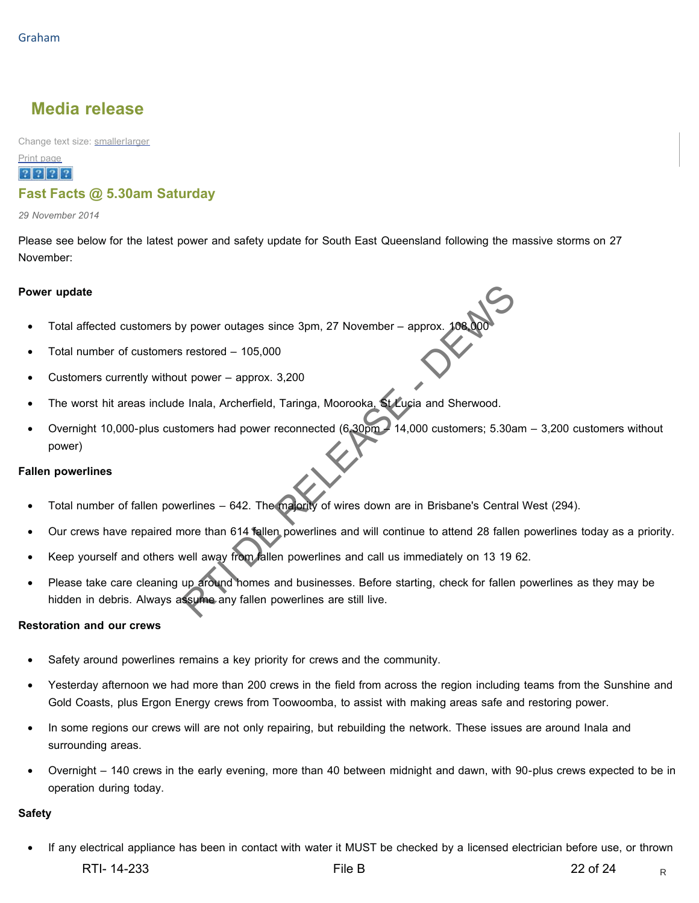# **Media release**

Change text size: smallerlarger

# Print page

# $|?|?|?|?$ **Fast Facts @ 5.30am Saturday**

*29 November 2014*

Please see below for the latest power and safety update for South East Queensland following the massive storms on 27 November:

#### **Power update**

- Total affected customers by power outages since 3pm, 27 November approx.  $108$
- Total number of customers restored 105,000
- Customers currently without power approx. 3,200
- The worst hit areas include Inala, Archerfield, Taringa, Moorooka, St Lucia and Sherwood.
- Overnight 10,000-plus customers had power reconnected (6.30pm 14,000 customers; 5.30am 3,200 customers without power) Summer of the space of the space of the space of the space of the space of the space of the space of the space of the space of the space of the space of the space of the space of the space of the space of the space of the

#### **Fallen powerlines**

- Total number of fallen powerlines 642. The majority of wires down are in Brisbane's Central West (294).
- Our crews have repaired more than 614 fallen powerlines and will continue to attend 28 fallen powerlines today as a priority.
- Keep yourself and others well away from fallen powerlines and call us immediately on 13 19 62.
- Please take care cleaning up around homes and businesses. Before starting, check for fallen powerlines as they may be hidden in debris. Always assume any fallen powerlines are still live.

#### **Restoration and our crews**

- Safety around powerlines remains a key priority for crews and the community.
- Yesterday afternoon we had more than 200 crews in the field from across the region including teams from the Sunshine and Gold Coasts, plus Ergon Energy crews from Toowoomba, to assist with making areas safe and restoring power.
- In some regions our crews will are not only repairing, but rebuilding the network. These issues are around Inala and surrounding areas.
- Overnight 140 crews in the early evening, more than 40 between midnight and dawn, with 90-plus crews expected to be in operation during today.

#### **Safety**

• If any electrical appliance has been in contact with water it MUST be checked by a licensed electrician before use, or thrown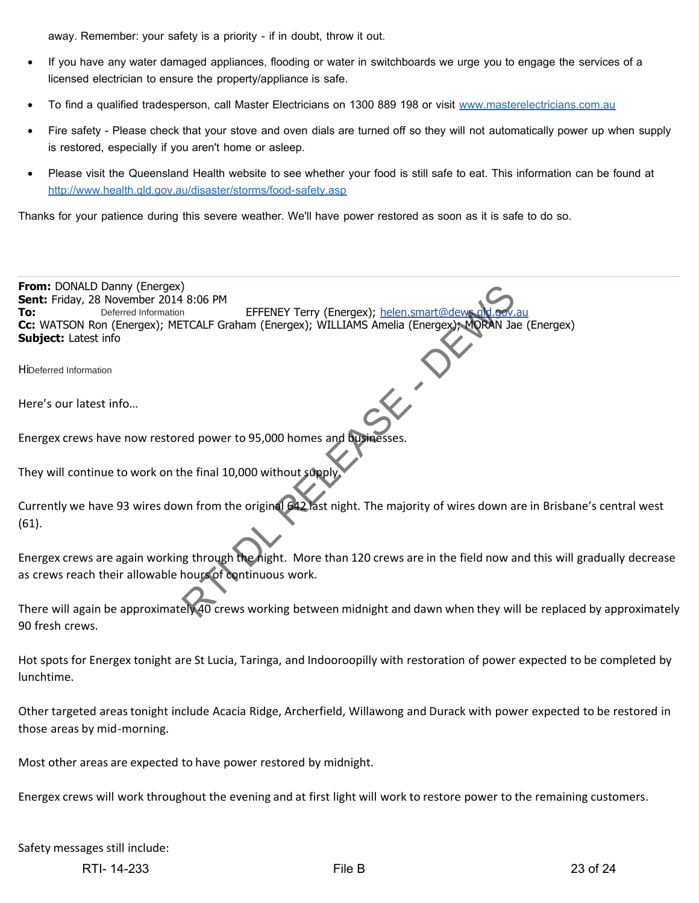away. Remember: your safety is a priority - if in doubt, throw it out.

- If you have any water damaged appliances, flooding or water in switchboards we urge you to engage the services of a licensed electrician to ensure the property/appliance is safe.
- To find a qualified tradesperson, call Master Electricians on 1300 889 198 or visit www.masterelectricians.com.au
- Fire safety Please check that your stove and oven dials are turned off so they will not automatically power up when supply is restored, especially if you aren't home or asleep.
- Please visit the Queensland Health website to see whether your food is still safe to eat. This information can be found at http://www.health.qld.gov.au/disaster/storms/food-safety.asp

Thanks for your patience during this severe weather. We'll have power restored as soon as it is safe to do so.

**From:** DONALD Danny (Energex) **Sent:** Friday, 28 November 2014 8:06 PM **To:** Deferred Information **EFFENEY Terry (Energex);** helen.smart@dews **Cc:** WATSON Ron (Energex); METCALF Graham (Energex); WILLIAMS Amelia (Energex); MORAN Jae (Energex) **Subject:** Latest info Hi Deferred Information Here's our latest info… Energex crews have now restored power to 95,000 homes and businesses. They will continue to work on the final 10,000 without supply Currently we have 93 wires down from the original 642 last night. The majority of wires down are in Brisbane's central west (61). Deferred Information RELIGION EFFENEY Terry (Energex); helen.smart@dewsold.com<br>
RTCALF Graham (Energex); WILLIAMS Amelia (Energex); MORAN Ja<br>
ed power to 95,000 homes and businesses.<br>
the final 10,000 without supply<br>
wn from the original G42 l

Energex crews are again working through the night. More than 120 crews are in the field now and this will gradually decrease as crews reach their allowable hours of continuous work.

There will again be approximately 40 crews working between midnight and dawn when they will be replaced by approximately 90 fresh crews.

Hot spots for Energex tonight are St Lucia, Taringa, and Indooroopilly with restoration of power expected to be completed by lunchtime.

Other targeted areas tonight include Acacia Ridge, Archerfield, Willawong and Durack with power expected to be restored in those areas by mid-morning.

Most other areas are expected to have power restored by midnight.

Energex crews will work throughout the evening and at first light will work to restore power to the remaining customers.

Safety messages still include:

RTI-14-233 23 of 24